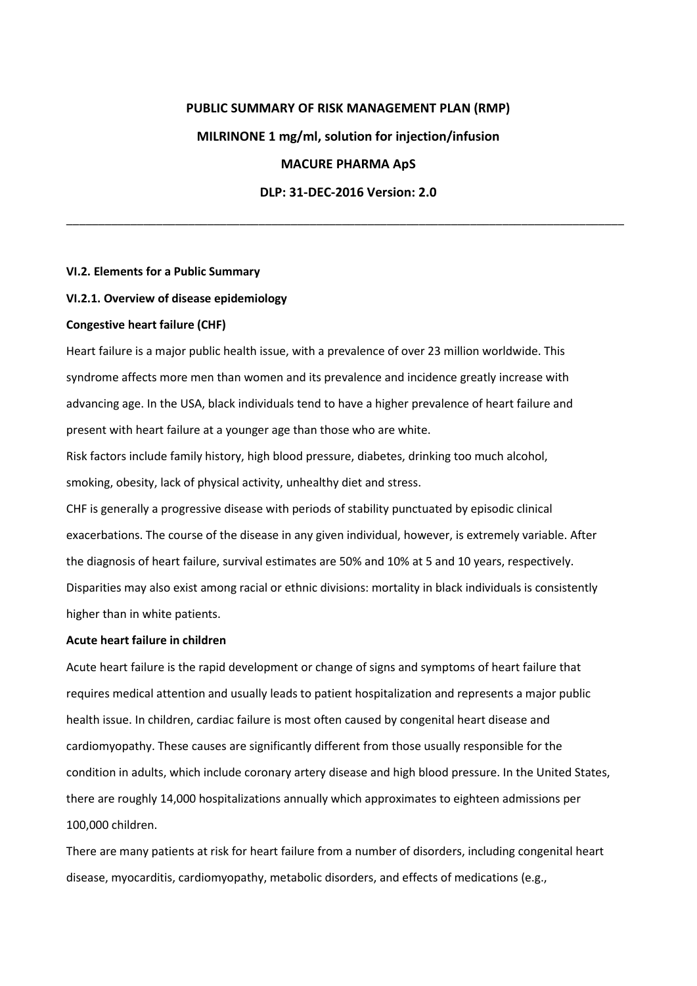# **PUBLIC SUMMARY OF RISK MANAGEMENT PLAN (RMP) MILRINONE 1 mg/ml, solution for injection/infusion MACURE PHARMA ApS DLP: 31-DEC-2016 Version: 2.0**

\_\_\_\_\_\_\_\_\_\_\_\_\_\_\_\_\_\_\_\_\_\_\_\_\_\_\_\_\_\_\_\_\_\_\_\_\_\_\_\_\_\_\_\_\_\_\_\_\_\_\_\_\_\_\_\_\_\_\_\_\_\_\_\_\_\_\_\_\_\_\_\_\_\_\_\_\_\_\_\_\_\_\_\_\_\_\_

### **VI.2. Elements for a Public Summary**

#### **VI.2.1. Overview of disease epidemiology**

#### **Congestive heart failure (CHF)**

Heart failure is a major public health issue, with a prevalence of over 23 million worldwide. This syndrome affects more men than women and its prevalence and incidence greatly increase with advancing age. In the USA, black individuals tend to have a higher prevalence of heart failure and present with heart failure at a younger age than those who are white.

Risk factors include family history, high blood pressure, diabetes, drinking too much alcohol, smoking, obesity, lack of physical activity, unhealthy diet and stress.

CHF is generally a progressive disease with periods of stability punctuated by episodic clinical exacerbations. The course of the disease in any given individual, however, is extremely variable. After the diagnosis of heart failure, survival estimates are 50% and 10% at 5 and 10 years, respectively. Disparities may also exist among racial or ethnic divisions: mortality in black individuals is consistently higher than in white patients.

### **Acute heart failure in children**

Acute heart failure is the rapid development or change of signs and symptoms of heart failure that requires medical attention and usually leads to patient hospitalization and represents a major public health issue. In children, cardiac failure is most often caused by congenital heart disease and cardiomyopathy. These causes are significantly different from those usually responsible for the condition in adults, which include coronary artery disease and high blood pressure. In the United States, there are roughly 14,000 hospitalizations annually which approximates to eighteen admissions per 100,000 children.

There are many patients at risk for heart failure from a number of disorders, including congenital heart disease, myocarditis, cardiomyopathy, metabolic disorders, and effects of medications (e.g.,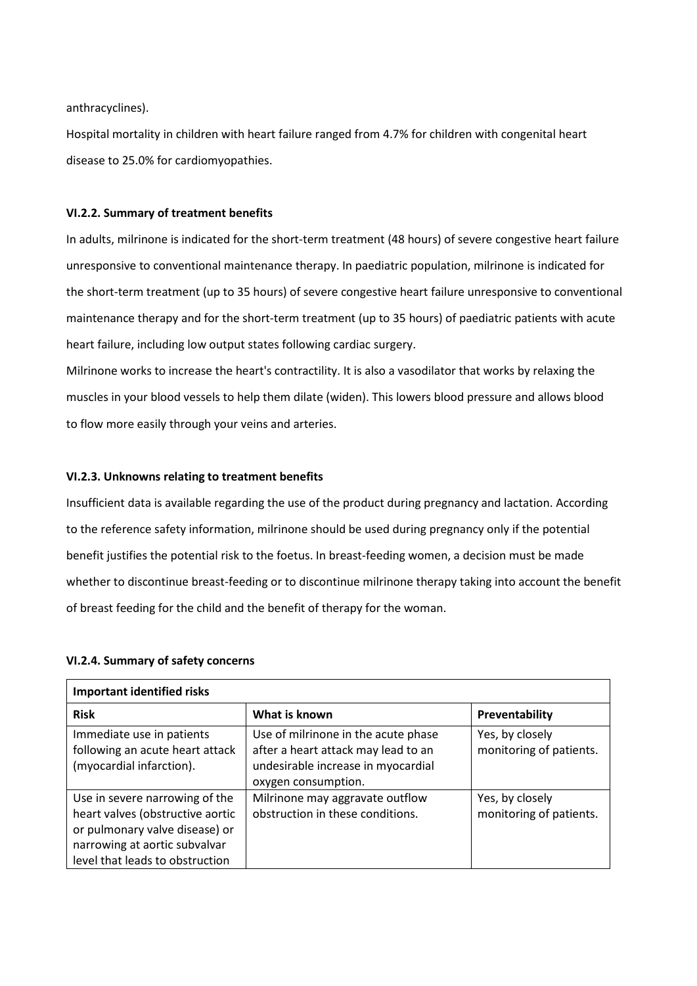anthracyclines).

Hospital mortality in children with heart failure ranged from 4.7% for children with congenital heart disease to 25.0% for cardiomyopathies.

## **VI.2.2. Summary of treatment benefits**

In adults, milrinone is indicated for the short-term treatment (48 hours) of severe congestive heart failure unresponsive to conventional maintenance therapy. In paediatric population, milrinone is indicated for the short-term treatment (up to 35 hours) of severe congestive heart failure unresponsive to conventional maintenance therapy and for the short-term treatment (up to 35 hours) of paediatric patients with acute heart failure, including low output states following cardiac surgery.

Milrinone works to increase the heart's contractility. It is also a vasodilator that works by relaxing the muscles in your blood vessels to help them dilate (widen). This lowers blood pressure and allows blood to flow more easily through your veins and arteries.

#### **VI.2.3. Unknowns relating to treatment benefits**

Insufficient data is available regarding the use of the product during pregnancy and lactation. According to the reference safety information, milrinone should be used during pregnancy only if the potential benefit justifies the potential risk to the foetus. In breast-feeding women, a decision must be made whether to discontinue breast-feeding or to discontinue milrinone therapy taking into account the benefit of breast feeding for the child and the benefit of therapy for the woman.

#### **VI.2.4. Summary of safety concerns**

| <b>Important identified risks</b>                                                                                                                                        |                                                                                                                                         |                                            |
|--------------------------------------------------------------------------------------------------------------------------------------------------------------------------|-----------------------------------------------------------------------------------------------------------------------------------------|--------------------------------------------|
| <b>Risk</b>                                                                                                                                                              | What is known                                                                                                                           | <b>Preventability</b>                      |
| Immediate use in patients<br>following an acute heart attack<br>(myocardial infarction).                                                                                 | Use of milrinone in the acute phase<br>after a heart attack may lead to an<br>undesirable increase in myocardial<br>oxygen consumption. | Yes, by closely<br>monitoring of patients. |
| Use in severe narrowing of the<br>heart valves (obstructive aortic<br>or pulmonary valve disease) or<br>narrowing at aortic subvalvar<br>level that leads to obstruction | Milrinone may aggravate outflow<br>obstruction in these conditions.                                                                     | Yes, by closely<br>monitoring of patients. |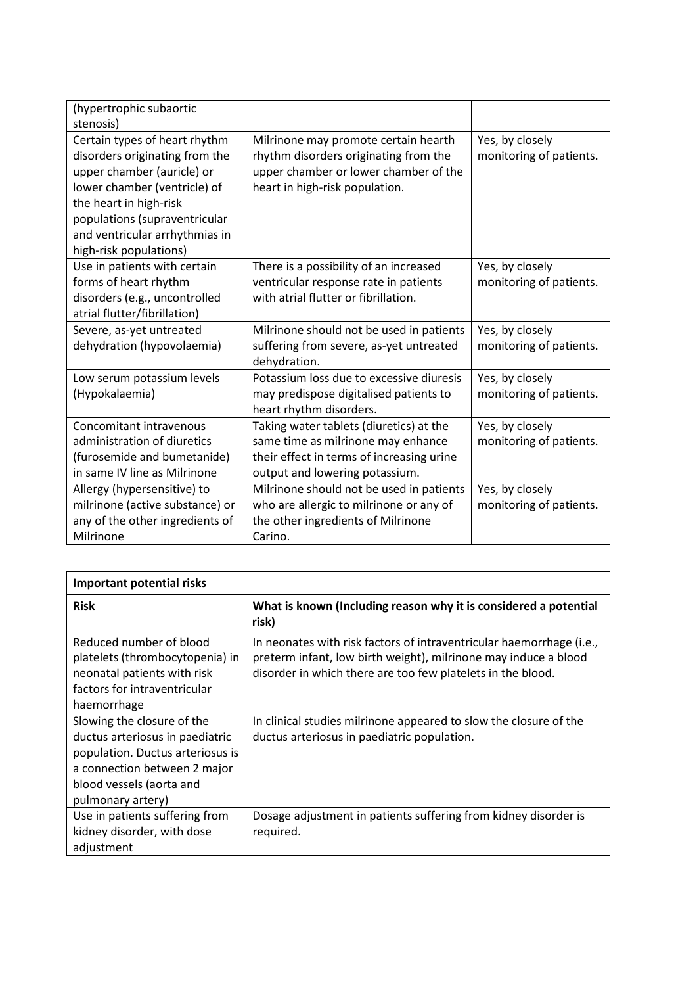| (hypertrophic subaortic<br>stenosis)                                                                                                                                                                                                                 |                                                                                                                                                              |                                            |
|------------------------------------------------------------------------------------------------------------------------------------------------------------------------------------------------------------------------------------------------------|--------------------------------------------------------------------------------------------------------------------------------------------------------------|--------------------------------------------|
| Certain types of heart rhythm<br>disorders originating from the<br>upper chamber (auricle) or<br>lower chamber (ventricle) of<br>the heart in high-risk<br>populations (supraventricular<br>and ventricular arrhythmias in<br>high-risk populations) | Milrinone may promote certain hearth<br>rhythm disorders originating from the<br>upper chamber or lower chamber of the<br>heart in high-risk population.     | Yes, by closely<br>monitoring of patients. |
| Use in patients with certain<br>forms of heart rhythm<br>disorders (e.g., uncontrolled<br>atrial flutter/fibrillation)                                                                                                                               | There is a possibility of an increased<br>ventricular response rate in patients<br>with atrial flutter or fibrillation.                                      | Yes, by closely<br>monitoring of patients. |
| Severe, as-yet untreated<br>dehydration (hypovolaemia)                                                                                                                                                                                               | Milrinone should not be used in patients<br>suffering from severe, as-yet untreated<br>dehydration.                                                          | Yes, by closely<br>monitoring of patients. |
| Low serum potassium levels<br>(Hypokalaemia)                                                                                                                                                                                                         | Potassium loss due to excessive diuresis<br>may predispose digitalised patients to<br>heart rhythm disorders.                                                | Yes, by closely<br>monitoring of patients. |
| Concomitant intravenous<br>administration of diuretics<br>(furosemide and bumetanide)<br>in same IV line as Milrinone                                                                                                                                | Taking water tablets (diuretics) at the<br>same time as milrinone may enhance<br>their effect in terms of increasing urine<br>output and lowering potassium. | Yes, by closely<br>monitoring of patients. |
| Allergy (hypersensitive) to<br>milrinone (active substance) or<br>any of the other ingredients of<br>Milrinone                                                                                                                                       | Milrinone should not be used in patients<br>who are allergic to milrinone or any of<br>the other ingredients of Milrinone<br>Carino.                         | Yes, by closely<br>monitoring of patients. |

| <b>Important potential risks</b>                                                                                                                                                   |                                                                                                                                                                                                        |  |
|------------------------------------------------------------------------------------------------------------------------------------------------------------------------------------|--------------------------------------------------------------------------------------------------------------------------------------------------------------------------------------------------------|--|
| <b>Risk</b>                                                                                                                                                                        | What is known (Including reason why it is considered a potential<br>risk)                                                                                                                              |  |
| Reduced number of blood<br>platelets (thrombocytopenia) in<br>neonatal patients with risk<br>factors for intraventricular<br>haemorrhage                                           | In neonates with risk factors of intraventricular haemorrhage (i.e.,<br>preterm infant, low birth weight), milrinone may induce a blood<br>disorder in which there are too few platelets in the blood. |  |
| Slowing the closure of the<br>ductus arteriosus in paediatric<br>population. Ductus arteriosus is<br>a connection between 2 major<br>blood vessels (aorta and<br>pulmonary artery) | In clinical studies milrinone appeared to slow the closure of the<br>ductus arteriosus in paediatric population.                                                                                       |  |
| Use in patients suffering from<br>kidney disorder, with dose<br>adjustment                                                                                                         | Dosage adjustment in patients suffering from kidney disorder is<br>required.                                                                                                                           |  |